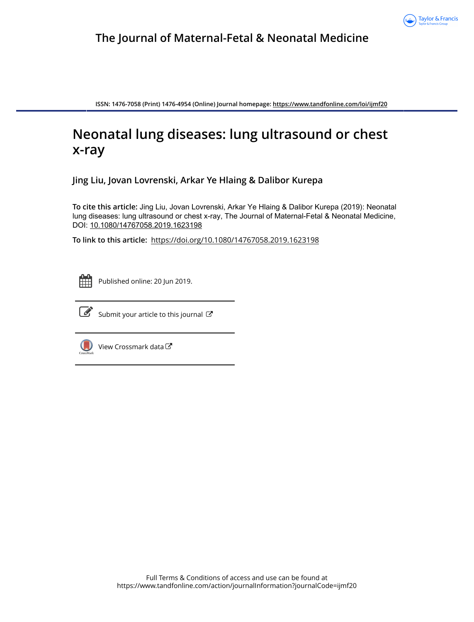

**ISSN: 1476-7058 (Print) 1476-4954 (Online) Journal homepage:<https://www.tandfonline.com/loi/ijmf20>**

# **Neonatal lung diseases: lung ultrasound or chest x-ray**

**Jing Liu, Jovan Lovrenski, Arkar Ye Hlaing & Dalibor Kurepa**

**To cite this article:** Jing Liu, Jovan Lovrenski, Arkar Ye Hlaing & Dalibor Kurepa (2019): Neonatal lung diseases: lung ultrasound or chest x-ray, The Journal of Maternal-Fetal & Neonatal Medicine, DOI: [10.1080/14767058.2019.1623198](https://www.tandfonline.com/action/showCitFormats?doi=10.1080/14767058.2019.1623198)

**To link to this article:** <https://doi.org/10.1080/14767058.2019.1623198>



Published online: 20 Jun 2019.



 $\overrightarrow{S}$  [Submit your article to this journal](https://www.tandfonline.com/action/authorSubmission?journalCode=ijmf20&show=instructions)  $\overrightarrow{S}$ 



 $\bigcirc$  [View Crossmark data](http://crossmark.crossref.org/dialog/?doi=10.1080/14767058.2019.1623198&domain=pdf&date_stamp=2019-06-20) $\mathbb{Z}$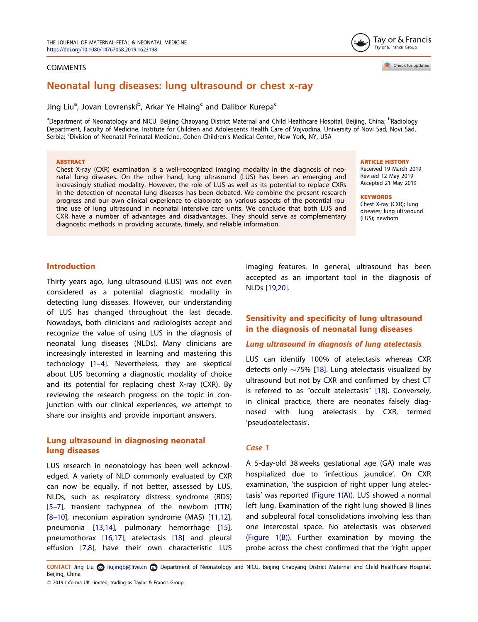#### <span id="page-1-0"></span>**COMMENTS**



Jing Liu<sup>a</sup>, Jovan Lovrenski<sup>b</sup>, Arkar Ye Hlaing<sup>c</sup> and Dalibor Kurepa<sup>c</sup>

<sup>a</sup>Department of Neonatology and NICU, Beijing Chaoyang District Maternal and Child Healthcare Hospital, Beijing, China; <sup>b</sup>Radiology Department, Faculty of Medicine, Institute for Children and Adolescents Health Care of Vojvodina, University of Novi Sad, Novi Sad, Serbia; 'Division of Neonatal-Perinatal Medicine, Cohen Children's Medical Center, New York, NY, USA

#### ABSTRACT

Chest X-ray (CXR) examination is a well-recognized imaging modality in the diagnosis of neonatal lung diseases. On the other hand, lung ultrasound (LUS) has been an emerging and increasingly studied modality. However, the role of LUS as well as its potential to replace CXRs in the detection of neonatal lung diseases has been debated. We combine the present research progress and our own clinical experience to elaborate on various aspects of the potential routine use of lung ultrasound in neonatal intensive care units. We conclude that both LUS and CXR have a number of advantages and disadvantages. They should serve as complementary diagnostic methods in providing accurate, timely, and reliable information.

ARTICLE HISTORY

Received 19 March 2019 Revised 12 May 2019 Accepted 21 May 2019

**KEYWORDS** 

Chest X-ray (CXR); lung diseases; lung ultrasound (LUS); newborn

# Introduction

Thirty years ago, lung ultrasound (LUS) was not even considered as a potential diagnostic modality in detecting lung diseases. However, our understanding of LUS has changed throughout the last decade. Nowadays, both clinicians and radiologists accept and recognize the value of using LUS in the diagnosis of neonatal lung diseases (NLDs). Many clinicians are increasingly interested in learning and mastering this technology [\[1](#page-5-0)–4]. Nevertheless, they are skeptical about LUS becoming a diagnostic modality of choice and its potential for replacing chest X-ray (CXR). By reviewing the research progress on the topic in conjunction with our clinical experiences, we attempt to share our insights and provide important answers.

# Lung ultrasound in diagnosing neonatal lung diseases

LUS research in neonatology has been well acknowledged. A variety of NLD commonly evaluated by CXR can now be equally, if not better, assessed by LUS. NLDs, such as respiratory distress syndrome (RDS) [5–[7\]](#page-6-0), transient tachypnea of the newborn (TTN) [8–[10\]](#page-6-0), meconium aspiration syndrome (MAS) [\[11,12\]](#page-6-0), pneumonia [\[13,14\]](#page-6-0), pulmonary hemorrhage [[15\]](#page-6-0), pneumothorax [\[16,17\]](#page-6-0), atelectasis [\[18](#page-6-0)] and pleural effusion [\[7,8](#page-6-0)], have their own characteristic LUS imaging features. In general, ultrasound has been accepted as an important tool in the diagnosis of NLDs [[19,20](#page-6-0)].

# Sensitivity and specificity of lung ultrasound in the diagnosis of neonatal lung diseases

# Lung ultrasound in diagnosis of lung atelectasis

LUS can identify 100% of atelectasis whereas CXR detects only  $\sim$ 75% [[18](#page-6-0)]. Lung atelectasis visualized by ultrasound but not by CXR and confirmed by chest CT is referred to as "occult atelectasis" [\[18](#page-6-0)]. Conversely, in clinical practice, there are neonates falsely diagnosed with lung atelectasis by CXR, termed 'pseudoatelectasis'.

#### Case 1

A 5-day-old 38 weeks gestational age (GA) male was hospitalized due to 'infectious jaundice'. On CXR examination, 'the suspicion of right upper lung atelectasis' was reported [\(Figure 1\(A\)](#page-2-0)). LUS showed a normal left lung. Examination of the right lung showed B lines and subpleural focal consolidations involving less than one intercostal space. No atelectasis was observed ([Figure 1\(B\)](#page-2-0)). Further examination by moving the probe across the chest confirmed that the 'right upper



Check for updates

CONTACT Jing Liu **S** liujingbj@live.cn **Department of Neonatology and NICU**, Beijing Chaoyang District Maternal and Child Healthcare Hospital, Beijing, China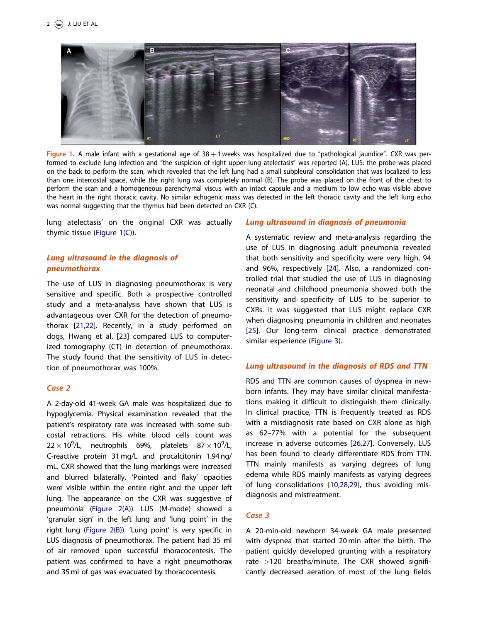<span id="page-2-0"></span>

Figure 1. A male infant with a gestational age of  $38 + 1$  weeks was hospitalized due to "pathological jaundice". CXR was performed to exclude lung infection and "the suspicion of right upper lung atelectasis" was reported (A). LUS: the probe was placed on the back to perform the scan, which revealed that the left lung had a small subpleural consolidation that was localized to less than one intercostal space, while the right lung was completely normal (B). The probe was placed on the front of the chest to perform the scan and a homogeneous parenchymal viscus with an intact capsule and a medium to low echo was visible above the heart in the right thoracic cavity. No similar echogenic mass was detected in the left thoracic cavity and the left lung echo was normal suggesting that the thymus had been detected on CXR (C).

lung atelectasis' on the original CXR was actually thymic tissue (Figure 1(C)).

# Lung ultrasound in the diagnosis of pneumothorax

The use of LUS in diagnosing pneumothorax is very sensitive and specific. Both a prospective controlled study and a meta-analysis have shown that LUS is advantageous over CXR for the detection of pneumothorax [[21,22](#page-6-0)]. Recently, in a study performed on dogs, Hwang et al. [[23](#page-6-0)] compared LUS to computerized tomography (CT) in detection of pneumothorax. The study found that the sensitivity of LUS in detection of pneumothorax was 100%.

# Case 2

A 2-day-old 41-week GA male was hospitalized due to hypoglycemia. Physical examination revealed that the patient's respiratory rate was increased with some subcostal retractions. His white blood cells count was  $22 \times 10^9$ /L, neutrophils 69%, platelets 87 $\times$ 10<sup>9</sup>/L, C-reactive protein 31 mg/L and procalcitonin 1.94 ng/ mL. CXR showed that the lung markings were increased and blurred bilaterally. 'Pointed and flaky' opacities were visible within the entire right and the upper left lung. The appearance on the CXR was suggestive of pneumonia [\(Figure 2\(A\)](#page-3-0)). LUS (M-mode) showed a 'granular sign' in the left lung and 'lung point' in the right lung ([Figure 2\(B\)\)](#page-3-0). 'Lung point' is very specific in LUS diagnosis of pneumothorax. The patient had 35 ml of air removed upon successful thoracocentesis. The patient was confirmed to have a right pneumothorax and 35 ml of gas was evacuated by thoracocentesis.

# Lung ultrasound in diagnosis of pneumonia

A systematic review and meta-analysis regarding the use of LUS in diagnosing adult pneumonia revealed that both sensitivity and specificity were very high, 94 and 96%, respectively [\[24](#page-6-0)]. Also, a randomized controlled trial that studied the use of LUS in diagnosing neonatal and childhood pneumonia showed both the sensitivity and specificity of LUS to be superior to CXRs. It was suggested that LUS might replace CXR when diagnosing pneumonia in children and neonates [[25\]](#page-6-0). Our long-term clinical practice demonstrated similar experience ([Figure 3\)](#page-3-0).

# Lung ultrasound in the diagnosis of RDS and TTN

RDS and TTN are common causes of dyspnea in newborn infants. They may have similar clinical manifestations making it difficult to distinguish them clinically. In clinical practice, TTN is frequently treated as RDS with a misdiagnosis rate based on CXR alone as high as 62–77% with a potential for the subsequent increase in adverse outcomes [[26,27](#page-6-0)]. Conversely, LUS has been found to clearly differentiate RDS from TTN. TTN mainly manifests as varying degrees of lung edema while RDS mainly manifests as varying degrees of lung consolidations [[10,28,29\]](#page-6-0), thus avoiding misdiagnosis and mistreatment.

# Case 3

A 20-min-old newborn 34-week GA male presented with dyspnea that started 20 min after the birth. The patient quickly developed grunting with a respiratory rate >120 breaths/minute. The CXR showed significantly decreased aeration of most of the lung fields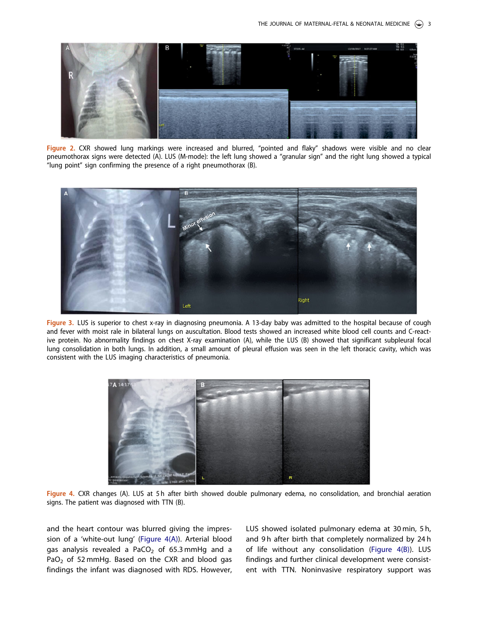<span id="page-3-0"></span>

Figure 2. CXR showed lung markings were increased and blurred, "pointed and flaky" shadows were visible and no clear pneumothorax signs were detected (A). LUS (M-mode): the left lung showed a "granular sign" and the right lung showed a typical "lung point" sign confirming the presence of a right pneumothorax (B).



Figure 3. LUS is superior to chest x-ray in diagnosing pneumonia. A 13-day baby was admitted to the hospital because of cough and fever with moist rale in bilateral lungs on auscultation. Blood tests showed an increased white blood cell counts and C-reactive protein. No abnormality findings on chest X-ray examination (A), while the LUS (B) showed that significant subpleural focal lung consolidation in both lungs. In addition, a small amount of pleural effusion was seen in the left thoracic cavity, which was consistent with the LUS imaging characteristics of pneumonia.



Figure 4. CXR changes (A). LUS at 5 h after birth showed double pulmonary edema, no consolidation, and bronchial aeration signs. The patient was diagnosed with TTN (B).

and the heart contour was blurred giving the impression of a 'white-out lung' (Figure 4(A)). Arterial blood gas analysis revealed a  $PaCO<sub>2</sub>$  of 65.3 mmHg and a PaO<sub>2</sub> of 52 mmHg. Based on the CXR and blood gas findings the infant was diagnosed with RDS. However, LUS showed isolated pulmonary edema at 30 min, 5 h, and 9h after birth that completely normalized by 24h of life without any consolidation (Figure 4(B)). LUS findings and further clinical development were consistent with TTN. Noninvasive respiratory support was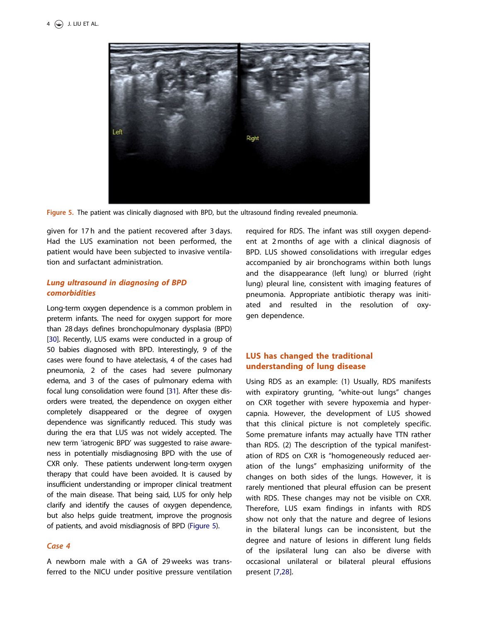<span id="page-4-0"></span>

Figure 5. The patient was clinically diagnosed with BPD, but the ultrasound finding revealed pneumonia.

given for 17 h and the patient recovered after 3 days. Had the LUS examination not been performed, the patient would have been subjected to invasive ventilation and surfactant administration.

# Lung ultrasound in diagnosing of BPD comorbidities

Long-term oxygen dependence is a common problem in preterm infants. The need for oxygen support for more than 28 days defines bronchopulmonary dysplasia (BPD) [\[30](#page-6-0)]. Recently, LUS exams were conducted in a group of 50 babies diagnosed with BPD. Interestingly, 9 of the cases were found to have atelectasis, 4 of the cases had pneumonia, 2 of the cases had severe pulmonary edema, and 3 of the cases of pulmonary edema with focal lung consolidation were found [\[31\]](#page-6-0). After these disorders were treated, the dependence on oxygen either completely disappeared or the degree of oxygen dependence was significantly reduced. This study was during the era that LUS was not widely accepted. The new term 'iatrogenic BPD' was suggested to raise awareness in potentially misdiagnosing BPD with the use of CXR only. These patients underwent long-term oxygen therapy that could have been avoided. It is caused by insufficient understanding or improper clinical treatment of the main disease. That being said, LUS for only help clarify and identify the causes of oxygen dependence, but also helps guide treatment, improve the prognosis of patients, and avoid misdiagnosis of BPD (Figure 5).

## Case 4

A newborn male with a GA of 29 weeks was transferred to the NICU under positive pressure ventilation required for RDS. The infant was still oxygen dependent at 2 months of age with a clinical diagnosis of BPD. LUS showed consolidations with irregular edges accompanied by air bronchograms within both lungs and the disappearance (left lung) or blurred (right lung) pleural line, consistent with imaging features of pneumonia. Appropriate antibiotic therapy was initiated and resulted in the resolution of oxygen dependence.

# LUS has changed the traditional understanding of lung disease

Using RDS as an example: (1) Usually, RDS manifests with expiratory grunting, "white-out lungs" changes on CXR together with severe hypoxemia and hypercapnia. However, the development of LUS showed that this clinical picture is not completely specific. Some premature infants may actually have TTN rather than RDS. (2) The description of the typical manifestation of RDS on CXR is "homogeneously reduced aeration of the lungs" emphasizing uniformity of the changes on both sides of the lungs. However, it is rarely mentioned that pleural effusion can be present with RDS. These changes may not be visible on CXR. Therefore, LUS exam findings in infants with RDS show not only that the nature and degree of lesions in the bilateral lungs can be inconsistent, but the degree and nature of lesions in different lung fields of the ipsilateral lung can also be diverse with occasional unilateral or bilateral pleural effusions present [[7,28](#page-6-0)].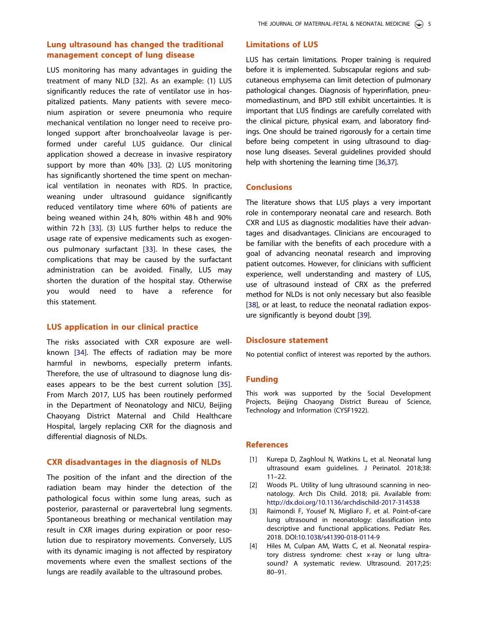# <span id="page-5-0"></span>Lung ultrasound has changed the traditional management concept of lung disease

LUS monitoring has many advantages in guiding the treatment of many NLD [[32\]](#page-6-0). As an example: (1) LUS significantly reduces the rate of ventilator use in hospitalized patients. Many patients with severe meconium aspiration or severe pneumonia who require mechanical ventilation no longer need to receive prolonged support after bronchoalveolar lavage is performed under careful LUS guidance. Our clinical application showed a decrease in invasive respiratory support by more than 40% [\[33](#page-6-0)]. (2) LUS monitoring has significantly shortened the time spent on mechanical ventilation in neonates with RDS. In practice, weaning under ultrasound guidance significantly reduced ventilatory time where 60% of patients are being weaned within 24 h, 80% within 48 h and 90% within 72 h [\[33\]](#page-6-0). (3) LUS further helps to reduce the usage rate of expensive medicaments such as exogenous pulmonary surfactant [\[33](#page-6-0)]. In these cases, the complications that may be caused by the surfactant administration can be avoided. Finally, LUS may shorten the duration of the hospital stay. Otherwise you would need to have a reference for this statement.

# LUS application in our clinical practice

The risks associated with CXR exposure are wellknown [\[34\]](#page-6-0). The effects of radiation may be more harmful in newborns, especially preterm infants. Therefore, the use of ultrasound to diagnose lung diseases appears to be the best current solution [[35\]](#page-6-0). From March 2017, LUS has been routinely performed in the Department of Neonatology and NICU, Beijing Chaoyang District Maternal and Child Healthcare Hospital, largely replacing CXR for the diagnosis and differential diagnosis of NLDs.

#### CXR disadvantages in the diagnosis of NLDs

The position of the infant and the direction of the radiation beam may hinder the detection of the pathological focus within some lung areas, such as posterior, parasternal or paravertebral lung segments. Spontaneous breathing or mechanical ventilation may result in CXR images during expiration or poor resolution due to respiratory movements. Conversely, LUS with its dynamic imaging is not affected by respiratory movements where even the smallest sections of the lungs are readily available to the ultrasound probes.

# Limitations of LUS

LUS has certain limitations. Proper training is required before it is implemented. Subscapular regions and subcutaneous emphysema can limit detection of pulmonary pathological changes. Diagnosis of hyperinflation, pneumomediastinum, and BPD still exhibit uncertainties. It is important that LUS findings are carefully correlated with the clinical picture, physical exam, and laboratory findings. One should be trained rigorously for a certain time before being competent in using ultrasound to diagnose lung diseases. Several guidelines provided should help with shortening the learning time [[36,37](#page-6-0)].

## **Conclusions**

The literature shows that LUS plays a very important role in contemporary neonatal care and research. Both CXR and LUS as diagnostic modalities have their advantages and disadvantages. Clinicians are encouraged to be familiar with the benefits of each procedure with a goal of advancing neonatal research and improving patient outcomes. However, for clinicians with sufficient experience, well understanding and mastery of LUS, use of ultrasound instead of CRX as the preferred method for NLDs is not only necessary but also feasible [\[38](#page-6-0)], or at least, to reduce the neonatal radiation exposure significantly is beyond doubt [[39\]](#page-6-0).

# Disclosure statement

No potential conflict of interest was reported by the authors.

## Funding

This work was supported by the Social Development Projects, Beijing Chaoyang District Bureau of Science, Technology and Information (CYSF1922).

## **References**

- [\[1\]](#page-1-0) Kurepa D, Zaghloul N, Watkins L, et al. Neonatal lung ultrasound exam guidelines. J Perinatol. 2018;38: 11–22.
- [2] Woods PL. Utility of lung ultrasound scanning in neonatology. Arch Dis Child. 2018; pii. Available from: <http://dx.doi.org/10.1136/archdischild-2017-314538>
- [3] Raimondi F, Yousef N, Migliaro F, et al. Point-of-care lung ultrasound in neonatology: classification into descriptive and functional applications. Pediatr Res. 2018. DOI:[10.1038/s41390-018-0114-9](https://doi.org/10.1038/s41390-018-0114-9)
- [4] Hiles M, Culpan AM, Watts C, et al. Neonatal respiratory distress syndrome: chest x-ray or lung ultrasound? A systematic review. Ultrasound. 2017;25: 80–91.